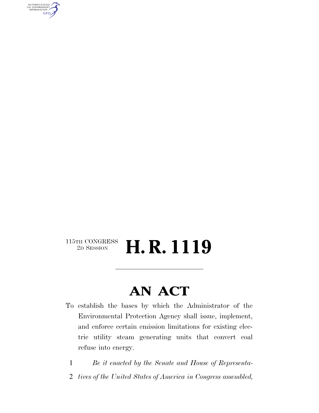AUTHENTICATED<br>U.S. GOVERNMENT<br>INFORMATION **GPO** 

#### $\begin{array}{c} \textbf{115TH CONGRESS} \\ \textbf{2D} \textbf{SESSION} \end{array}$ 2D SESSION **H. R. 1119**

### **AN ACT**

- To establish the bases by which the Administrator of the Environmental Protection Agency shall issue, implement, and enforce certain emission limitations for existing electric utility steam generating units that convert coal refuse into energy.
	- 1 *Be it enacted by the Senate and House of Representa-*
	- 2 *tives of the United States of America in Congress assembled,*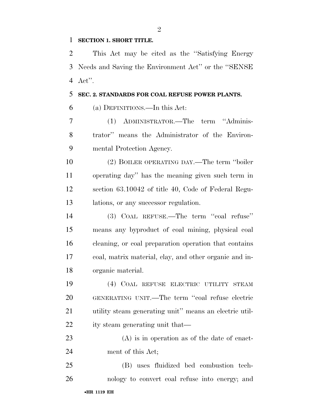#### **SECTION 1. SHORT TITLE.**

 This Act may be cited as the ''Satisfying Energy Needs and Saving the Environment Act'' or the ''SENSE Act''.

#### **SEC. 2. STANDARDS FOR COAL REFUSE POWER PLANTS.**

(a) DEFINITIONS.—In this Act:

 (1) ADMINISTRATOR.—The term ''Adminis- trator'' means the Administrator of the Environ-mental Protection Agency.

 (2) BOILER OPERATING DAY.—The term ''boiler operating day'' has the meaning given such term in section 63.10042 of title 40, Code of Federal Regu-lations, or any successor regulation.

 (3) COAL REFUSE.—The term ''coal refuse'' means any byproduct of coal mining, physical coal cleaning, or coal preparation operation that contains coal, matrix material, clay, and other organic and in-organic material.

 (4) COAL REFUSE ELECTRIC UTILITY STEAM GENERATING UNIT.—The term ''coal refuse electric utility steam generating unit'' means an electric util-ity steam generating unit that—

 (A) is in operation as of the date of enact-ment of this Act;

•**HR 1119 EH** (B) uses fluidized bed combustion tech-nology to convert coal refuse into energy; and

 $\mathfrak{D}$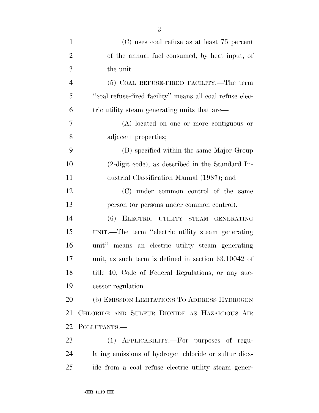| $\mathbf{1}$   | (C) uses coal refuse as at least 75 percent                |
|----------------|------------------------------------------------------------|
| $\overline{2}$ | of the annual fuel consumed, by heat input, of             |
| 3              | the unit.                                                  |
| $\overline{4}$ | (5) COAL REFUSE-FIRED FACILITY.—The term                   |
| 5              | "coal refuse-fired facility" means all coal refuse elec-   |
| 6              | tric utility steam generating units that are—              |
| 7              | (A) located on one or more contiguous or                   |
| 8              | adjacent properties;                                       |
| 9              | (B) specified within the same Major Group                  |
| 10             | $(2\text{-digit code})$ , as described in the Standard In- |
| 11             | dustrial Classification Manual (1987); and                 |
| 12             | (C) under common control of the same                       |
| 13             | person (or persons under common control).                  |
| 14             | (6) ELECTRIC UTILITY STEAM GENERATING                      |
| 15             | UNIT.—The term "electric utility steam generating          |
| 16             | unit" means an electric utility steam generating           |
| 17             | unit, as such term is defined in section $63.10042$ of     |
| 18             | title 40, Code of Federal Regulations, or any suc-         |
| 19             | cessor regulation.                                         |
| 20             | (b) EMISSION LIMITATIONS TO ADDRESS HYDROGEN               |
| 21             | CHLORIDE AND SULFUR DIOXIDE AS HAZARDOUS AIR               |
| 22             | POLLUTANTS.-                                               |
| 23             | (1) APPLICABILITY.—For purposes of regu-                   |
| 24             | lating emissions of hydrogen chloride or sulfur diox-      |

ide from a coal refuse electric utility steam gener-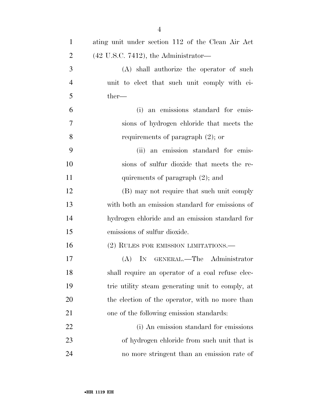| $\mathbf{1}$   | ating unit under section 112 of the Clean Air Act |
|----------------|---------------------------------------------------|
| $\overline{2}$ | $(42 \text{ U.S.C. } 7412)$ , the Administrator—  |
| 3              | (A) shall authorize the operator of such          |
| $\overline{4}$ | unit to elect that such unit comply with ei-      |
| 5              | $ther-$                                           |
| 6              | an emissions standard for emis-<br>(i)            |
| 7              | sions of hydrogen chloride that meets the         |
| 8              | requirements of paragraph $(2)$ ; or              |
| 9              | (ii) an emission standard for emis-               |
| 10             | sions of sulfur dioxide that meets the re-        |
| 11             | quirements of paragraph $(2)$ ; and               |
| 12             | (B) may not require that such unit comply         |
| 13             | with both an emission standard for emissions of   |
| 14             | hydrogen chloride and an emission standard for    |
| 15             | emissions of sulfur dioxide.                      |
| 16             | (2) RULES FOR EMISSION LIMITATIONS.—              |
| 17             | (A) IN GENERAL.—The Administrator                 |
| 18             | shall require an operator of a coal refuse elec-  |
| 19             | tric utility steam generating unit to comply, at  |
| 20             | the election of the operator, with no more than   |
| 21             | one of the following emission standards:          |
| 22             | (i) An emission standard for emissions            |
| 23             | of hydrogen chloride from such unit that is       |
| 24             | no more stringent than an emission rate of        |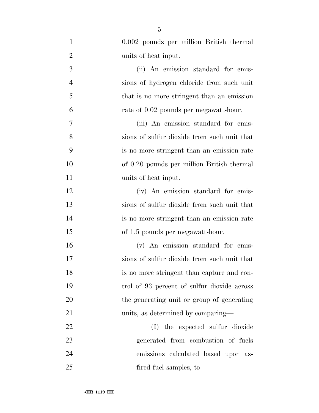| $\mathbf{1}$   | 0.002 pounds per million British thermal    |
|----------------|---------------------------------------------|
| $\overline{2}$ | units of heat input.                        |
| 3              | (ii) An emission standard for emis-         |
| $\overline{4}$ | sions of hydrogen chloride from such unit   |
| 5              | that is no more stringent than an emission  |
| 6              | rate of 0.02 pounds per megawatt-hour.      |
| 7              | (iii) An emission standard for emis-        |
| 8              | sions of sulfur dioxide from such unit that |
| 9              | is no more stringent than an emission rate  |
| 10             | of 0.20 pounds per million British thermal  |
| 11             | units of heat input.                        |
| 12             | (iv) An emission standard for emis-         |
| 13             | sions of sulfur dioxide from such unit that |
| 14             | is no more stringent than an emission rate  |
| 15             | of 1.5 pounds per megawatt-hour.            |
| 16             | (v) An emission standard for emis-          |
| 17             | sions of sulfur dioxide from such unit that |
| 18             | is no more stringent than capture and con-  |
| 19             | trol of 93 percent of sulfur dioxide across |
| 20             | the generating unit or group of generating  |
| 21             | units, as determined by comparing—          |
| 22             | (I) the expected sulfur dioxide             |
| 23             | generated from combustion of fuels          |
| 24             | emissions calculated based upon as-         |
| 25             | fired fuel samples, to                      |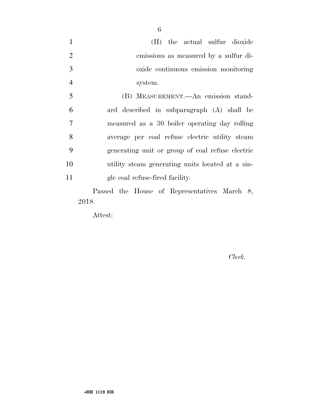(II) the actual sulfur dioxide emissions as measured by a sulfur di- oxide continuous emission monitoring system.

 (B) MEASUREMENT.—An emission stand- ard described in subparagraph (A) shall be measured as a 30 boiler operating day rolling average per coal refuse electric utility steam generating unit or group of coal refuse electric utility steam generating units located at a sin-gle coal refuse-fired facility.

Passed the House of Representatives March 8, 2018.

Attest:

*Clerk.*